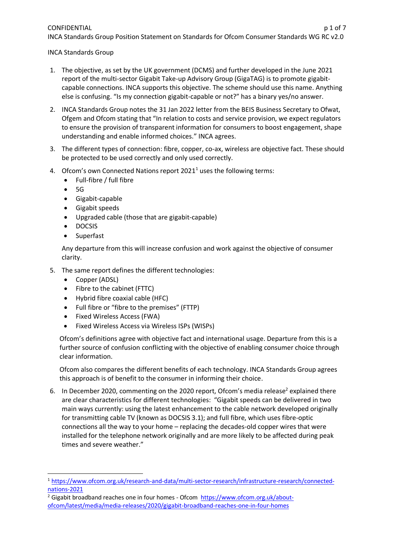## CONFIDENTIAL p 1 of 7 INCA Standards Group Position Statement on Standards for Ofcom Consumer Standards WG RC v2.0

INCA Standards Group

- 1. The objective, as set by the UK government (DCMS) and further developed in the June 2021 report of the multi-sector Gigabit Take-up Advisory Group (GigaTAG) is to promote gigabitcapable connections. INCA supports this objective. The scheme should use this name. Anything else is confusing. "Is my connection gigabit-capable or not?" has a binary yes/no answer.
- 2. INCA Standards Group notes the 31 Jan 2022 letter from the BEIS Business Secretary to Ofwat, Ofgem and Ofcom stating that "In relation to costs and service provision, we expect regulators to ensure the provision of transparent information for consumers to boost engagement, shape understanding and enable informed choices." INCA agrees.
- 3. The different types of connection: fibre, copper, co-ax, wireless are objective fact. These should be protected to be used correctly and only used correctly.
- 4. Ofcom's own Connected Nations report  $2021<sup>1</sup>$  uses the following terms:
	- Full-fibre / full fibre
	- 5G
	- Gigabit-capable
	- Gigabit speeds
	- Upgraded cable (those that are gigabit-capable)
	- DOCSIS
	- **Superfast**

Any departure from this will increase confusion and work against the objective of consumer clarity.

- 5. The same report defines the different technologies:
	- Copper (ADSL)
	- Fibre to the cabinet (FTTC)
	- Hybrid fibre coaxial cable (HFC)
	- Full fibre or "fibre to the premises" (FTTP)
	- Fixed Wireless Access (FWA)
	- Fixed Wireless Access via Wireless ISPs (WISPs)

Ofcom's definitions agree with objective fact and international usage. Departure from this is a further source of confusion conflicting with the objective of enabling consumer choice through clear information.

Ofcom also compares the different benefits of each technology. INCA Standards Group agrees this approach is of benefit to the consumer in informing their choice.

6. In December 2020, commenting on the 2020 report, Ofcom's media release<sup>2</sup> explained there are clear characteristics for different technologies: "Gigabit speeds can be delivered in two main ways currently: using the latest enhancement to the cable network developed originally for transmitting cable TV (known as DOCSIS 3.1); and full fibre, which uses fibre-optic connections all the way to your home – replacing the decades-old copper wires that were installed for the telephone network originally and are more likely to be affected during peak times and severe weather."

<sup>1</sup> [https://www.ofcom.org.uk/research-and-data/multi-sector-research/infrastructure-research/connected](https://www.ofcom.org.uk/research-and-data/multi-sector-research/infrastructure-research/connected-nations-2021)[nations-2021](https://www.ofcom.org.uk/research-and-data/multi-sector-research/infrastructure-research/connected-nations-2021)

<sup>2</sup> Gigabit broadband reaches one in four homes - Ofcom [https://www.ofcom.org.uk/about](https://www.ofcom.org.uk/about-ofcom/latest/media/media-releases/2020/gigabit-broadband-reaches-one-in-four-homes)[ofcom/latest/media/media-releases/2020/gigabit-broadband-reaches-one-in-four-homes](https://www.ofcom.org.uk/about-ofcom/latest/media/media-releases/2020/gigabit-broadband-reaches-one-in-four-homes)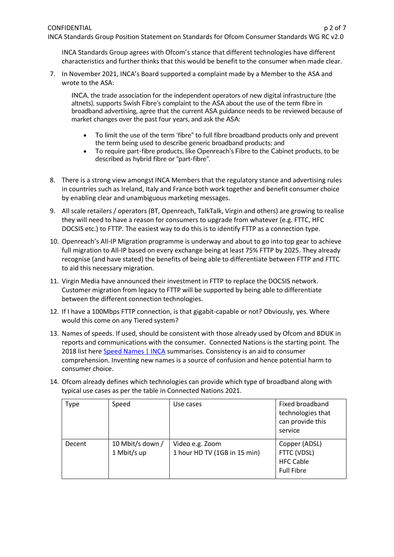INCA Standards Group Position Statement on Standards for Ofcom Consumer Standards WG RC v2.0

INCA Standards Group agrees with Ofcom's stance that different technologies have different characteristics and further thinks that this would be benefit to the consumer when made clear.

7. In November 2021, INCA's Board supported a complaint made by a Member to the ASA and wrote to the ASA:

INCA, the trade association for the independent operators of new digital infrastructure (the altnets), supports Swish Fibre's complaint to the ASA about the use of the term fibre in broadband advertising, agree that the current ASA guidance needs to be reviewed because of market changes over the past four years, and ask the ASA:

- To limit the use of the term 'fibre" to full fibre broadband products only and prevent the term being used to describe generic broadband products; and
- To require part-fibre products, like Openreach's Fibre to the Cabinet products, to be described as hybrid fibre or "part-fibre".
- 8. There is a strong view amongst INCA Members that the regulatory stance and advertising rules in countries such as Ireland, Italy and France both work together and benefit consumer choice by enabling clear and unambiguous marketing messages.
- 9. All scale retailers / operators (BT, Openreach, TalkTalk, Virgin and others) are growing to realise they will need to have a reason for consumers to upgrade from whatever (e.g. FTTC, HFC DOCSIS etc.) to FTTP. The easiest way to do this is to identify FTTP as a connection type.
- 10. Openreach's All-IP Migration programme is underway and about to go into top gear to achieve full migration to All-IP based on every exchange being at least 75% FTTP by 2025. They already recognise (and have stated) the benefits of being able to differentiate between FTTP and FTTC to aid this necessary migration.
- 11. Virgin Media have announced their investment in FTTP to replace the DOCSIS network. Customer migration from legacy to FTTP will be supported by being able to differentiate between the different connection technologies.
- 12. If I have a 100Mbps FTTP connection, is that gigabit-capable or not? Obviously, yes. Where would this come on any Tiered system?
- 13. Names of speeds. If used, should be consistent with those already used by Ofcom and BDUK in reports and communications with the consumer. Connected Nations is the starting point. The 2018 list her[e Speed Names | INCA](https://www.inca.coop/quality-mark/speed-names) summarises. Consistency is an aid to consumer comprehension. Inventing new names is a source of confusion and hence potential harm to consumer choice.
- 14. Ofcom already defines which technologies can provide which type of broadband along with typical use cases as per the table in Connected Nations 2021.

| Type   | Speed                           | Use cases                                       | Fixed broadband<br>technologies that<br>can provide this<br>service   |
|--------|---------------------------------|-------------------------------------------------|-----------------------------------------------------------------------|
| Decent | 10 Mbit/s down /<br>1 Mbit/s up | Video e.g. Zoom<br>1 hour HD TV (1GB in 15 min) | Copper (ADSL)<br>FTTC (VDSL)<br><b>HFC Cable</b><br><b>Full Fibre</b> |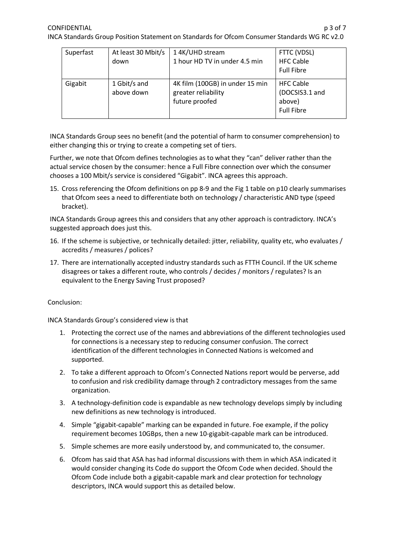| Superfast | At least 30 Mbit/s<br>down | 1 4K/UHD stream<br>1 hour HD TV in under 4.5 min                         | FTTC (VDSL)<br><b>HFC Cable</b><br><b>Full Fibre</b>              |
|-----------|----------------------------|--------------------------------------------------------------------------|-------------------------------------------------------------------|
| Gigabit   | 1 Gbit/s and<br>above down | 4K film (100GB) in under 15 min<br>greater reliability<br>future proofed | <b>HFC Cable</b><br>(DOCSIS3.1 and<br>above)<br><b>Full Fibre</b> |

INCA Standards Group sees no benefit (and the potential of harm to consumer comprehension) to either changing this or trying to create a competing set of tiers.

Further, we note that Ofcom defines technologies as to what they "can" deliver rather than the actual service chosen by the consumer: hence a Full Fibre connection over which the consumer chooses a 100 Mbit/s service is considered "Gigabit". INCA agrees this approach.

15. Cross referencing the Ofcom definitions on pp 8-9 and the Fig 1 table on p10 clearly summarises that Ofcom sees a need to differentiate both on technology / characteristic AND type (speed bracket).

INCA Standards Group agrees this and considers that any other approach is contradictory. INCA's suggested approach does just this.

- 16. If the scheme is subjective, or technically detailed: jitter, reliability, quality etc, who evaluates / accredits / measures / polices?
- 17. There are internationally accepted industry standards such as FTTH Council. If the UK scheme disagrees or takes a different route, who controls / decides / monitors / regulates? Is an equivalent to the Energy Saving Trust proposed?

## Conclusion:

INCA Standards Group's considered view is that

- 1. Protecting the correct use of the names and abbreviations of the different technologies used for connections is a necessary step to reducing consumer confusion. The correct identification of the different technologies in Connected Nations is welcomed and supported.
- 2. To take a different approach to Ofcom's Connected Nations report would be perverse, add to confusion and risk credibility damage through 2 contradictory messages from the same organization.
- 3. A technology-definition code is expandable as new technology develops simply by including new definitions as new technology is introduced.
- 4. Simple "gigabit-capable" marking can be expanded in future. Foe example, if the policy requirement becomes 10GBps, then a new 10-gigabit-capable mark can be introduced.
- 5. Simple schemes are more easily understood by, and communicated to, the consumer.
- 6. Ofcom has said that ASA has had informal discussions with them in which ASA indicated it would consider changing its Code do support the Ofcom Code when decided. Should the Ofcom Code include both a gigabit-capable mark and clear protection for technology descriptors, INCA would support this as detailed below.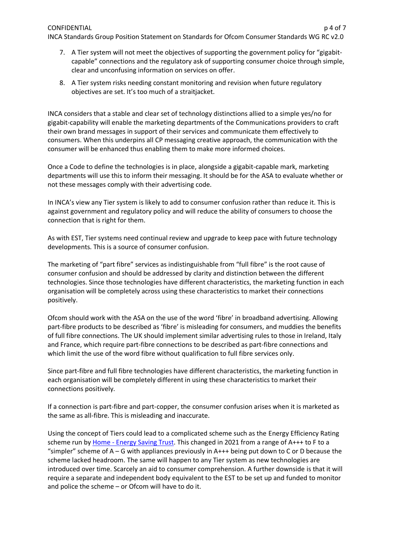## CONFIDENTIAL DESCRIPTION CONFIDENTIAL CONFIDENTIAL CONFIDENTIAL CONFIDENTIAL CONFIDENTIAL CONFIDENTIAL CONFIDENTIAL CONFIDENTIAL CONFIDENTIAL CONFIDENTIAL CONFIDENTIAL CONFIDENTIAL CONFIDENTIAL CONFIDENTIAL CONFIDENTIAL CO

INCA Standards Group Position Statement on Standards for Ofcom Consumer Standards WG RC v2.0

- 7. A Tier system will not meet the objectives of supporting the government policy for "gigabitcapable" connections and the regulatory ask of supporting consumer choice through simple, clear and unconfusing information on services on offer.
- 8. A Tier system risks needing constant monitoring and revision when future regulatory objectives are set. It's too much of a straitjacket.

INCA considers that a stable and clear set of technology distinctions allied to a simple yes/no for gigabit-capability will enable the marketing departments of the Communications providers to craft their own brand messages in support of their services and communicate them effectively to consumers. When this underpins all CP messaging creative approach, the communication with the consumer will be enhanced thus enabling them to make more informed choices.

Once a Code to define the technologies is in place, alongside a gigabit-capable mark, marketing departments will use this to inform their messaging. It should be for the ASA to evaluate whether or not these messages comply with their advertising code.

In INCA's view any Tier system is likely to add to consumer confusion rather than reduce it. This is against government and regulatory policy and will reduce the ability of consumers to choose the connection that is right for them.

As with EST, Tier systems need continual review and upgrade to keep pace with future technology developments. This is a source of consumer confusion.

The marketing of "part fibre" services as indistinguishable from "full fibre" is the root cause of consumer confusion and should be addressed by clarity and distinction between the different technologies. Since those technologies have different characteristics, the marketing function in each organisation will be completely across using these characteristics to market their connections positively.

Ofcom should work with the ASA on the use of the word 'fibre' in broadband advertising. Allowing part-fibre products to be described as 'fibre' is misleading for consumers, and muddies the benefits of full fibre connections. The UK should implement similar advertising rules to those in Ireland, Italy and France, which require part-fibre connections to be described as part-fibre connections and which limit the use of the word fibre without qualification to full fibre services only.

Since part-fibre and full fibre technologies have different characteristics, the marketing function in each organisation will be completely different in using these characteristics to market their connections positively.

If a connection is part-fibre and part-copper, the consumer confusion arises when it is marketed as the same as all-fibre. This is misleading and inaccurate.

Using the concept of Tiers could lead to a complicated scheme such as the Energy Efficiency Rating scheme run by Home - [Energy Saving Trust.](https://energysavingtrust.org.uk/) This changed in 2021 from a range of A+++ to F to a "simpler" scheme of  $A - G$  with appliances previously in  $A++$  being put down to C or D because the scheme lacked headroom. The same will happen to any Tier system as new technologies are introduced over time. Scarcely an aid to consumer comprehension. A further downside is that it will require a separate and independent body equivalent to the EST to be set up and funded to monitor and police the scheme – or Ofcom will have to do it.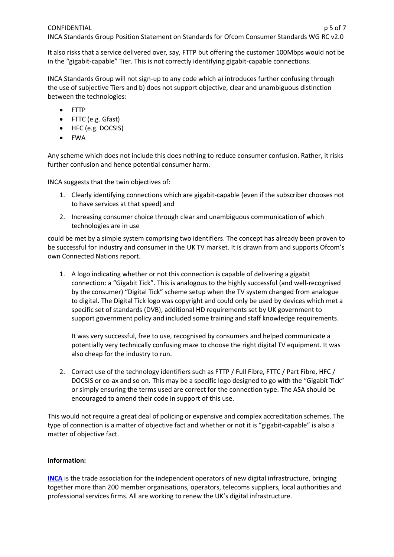It also risks that a service delivered over, say, FTTP but offering the customer 100Mbps would not be in the "gigabit-capable" Tier. This is not correctly identifying gigabit-capable connections.

INCA Standards Group will not sign-up to any code which a) introduces further confusing through the use of subjective Tiers and b) does not support objective, clear and unambiguous distinction between the technologies:

- FTTP
- FTTC (e.g. Gfast)
- HFC (e.g. DOCSIS)
- FWA

Any scheme which does not include this does nothing to reduce consumer confusion. Rather, it risks further confusion and hence potential consumer harm.

INCA suggests that the twin objectives of:

- 1. Clearly identifying connections which are gigabit-capable (even if the subscriber chooses not to have services at that speed) and
- 2. Increasing consumer choice through clear and unambiguous communication of which technologies are in use

could be met by a simple system comprising two identifiers. The concept has already been proven to be successful for industry and consumer in the UK TV market. It is drawn from and supports Ofcom's own Connected Nations report.

1. A logo indicating whether or not this connection is capable of delivering a gigabit connection: a "Gigabit Tick". This is analogous to the highly successful (and well-recognised by the consumer) "Digital Tick" scheme setup when the TV system changed from analogue to digital. The Digital Tick logo was copyright and could only be used by devices which met a specific set of standards (DVB), additional HD requirements set by UK government to support government policy and included some training and staff knowledge requirements.

It was very successful, free to use, recognised by consumers and helped communicate a potentially very technically confusing maze to choose the right digital TV equipment. It was also cheap for the industry to run.

2. Correct use of the technology identifiers such as FTTP / Full Fibre, FTTC / Part Fibre, HFC / DOCSIS or co-ax and so on. This may be a specific logo designed to go with the "Gigabit Tick" or simply ensuring the terms used are correct for the connection type. The ASA should be encouraged to amend their code in support of this use.

This would not require a great deal of policing or expensive and complex accreditation schemes. The type of connection is a matter of objective fact and whether or not it is "gigabit-capable" is also a matter of objective fact.

## **Information:**

**[INCA](https://www.inca.coop/)** is the trade association for the independent operators of new digital infrastructure, bringing together more than 200 member organisations, operators, telecoms suppliers, local authorities and professional services firms. All are working to renew the UK's digital infrastructure.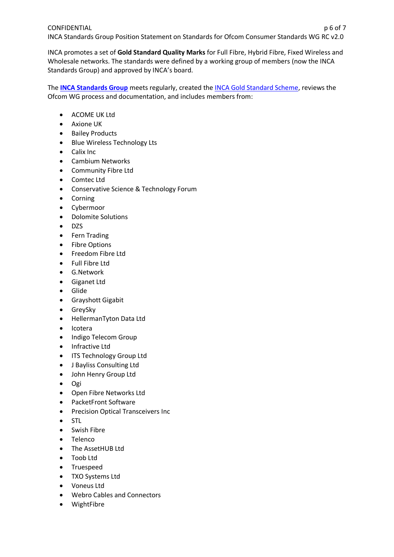INCA Standards Group Position Statement on Standards for Ofcom Consumer Standards WG RC v2.0

INCA promotes a set of **Gold Standard Quality Marks** for Full Fibre, Hybrid Fibre, Fixed Wireless and Wholesale networks. The standards were defined by a working group of members (now the INCA Standards Group) and approved by INCA's board.

The **[INCA Standards Group](https://www.inca.coop/inca-standards-group-0)** meets regularly, created th[e INCA Gold Standard Scheme,](https://www.inca.coop/gold-standard) reviews the Ofcom WG process and documentation, and includes members from:

- ACOME UK Ltd
- Axione UK
- Bailey Products
- Blue Wireless Technology Lts
- Calix Inc
- Cambium Networks
- Community Fibre Ltd
- Comtec Ltd
- Conservative Science & Technology Forum
- Corning
- Cybermoor
- Dolomite Solutions
- DZS
- Fern Trading
- Fibre Options
- Freedom Fibre Ltd
- Full Fibre Ltd
- G.Network
- Giganet Ltd
- Glide
- Grayshott Gigabit
- GreySky
- HellermanTyton Data Ltd
- Icotera
- Indigo Telecom Group
- Infractive Ltd
- ITS Technology Group Ltd
- J Bayliss Consulting Ltd
- John Henry Group Ltd
- Ogi
- Open Fibre Networks Ltd
- PacketFront Software
- Precision Optical Transceivers Inc
- STL
- Swish Fibre
- Telenco
- The AssetHUB Ltd
- Toob Ltd
- Truespeed
- TXO Systems Ltd
- Voneus Ltd
- Webro Cables and Connectors
- WightFibre